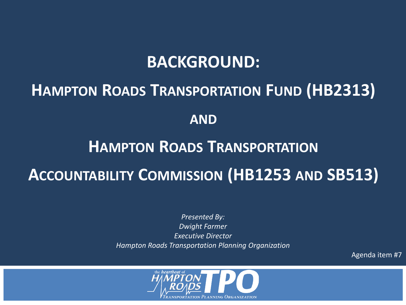#### **BACKGROUND:**

### **HAMPTON ROADS TRANSPORTATION FUND (HB2313)**

**AND**

# **HAMPTON ROADS TRANSPORTATION ACCOUNTABILITY COMMISSION (HB1253 AND SB513)**

*Presented By: Dwight Farmer Executive Director Hampton Roads Transportation Planning Organization* 

Agenda item #7

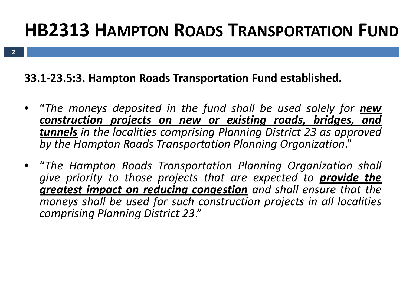### **HB2313 HAMPTON ROADS TRANSPORTATION FUND**

**33.1-23.5:3. Hampton Roads Transportation Fund established.**

- "*The moneys deposited in the fund shall be used solely for new construction projects on new or existing roads, bridges, and tunnels in the localities comprising Planning District 23 as approved by the Hampton Roads Transportation Planning Organization*."
- "*The Hampton Roads Transportation Planning Organization shall give priority to those projects that are expected to provide the greatest impact on reducing congestion and shall ensure that the moneys shall be used for such construction projects in all localities comprising Planning District 23*."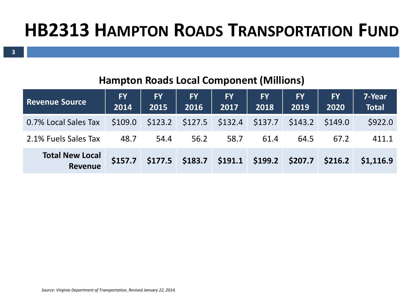#### **Hampton Roads Local Component (Millions)**

| <b>Revenue Source</b>             | FY 1<br>2014 | <b>FY</b><br>2015 | <b>FY</b><br>2016                            | <b>FY</b><br>2017 | <b>FY</b><br>2018                            | <b>FY</b><br>2019 | <b>FY</b><br>2020 | 7-Year<br><b>Total</b> |
|-----------------------------------|--------------|-------------------|----------------------------------------------|-------------------|----------------------------------------------|-------------------|-------------------|------------------------|
| 0.7% Local Sales Tax              | \$109.0      | \$123.2           |                                              |                   | $$127.5$ $$132.4$ $$137.7$ $$143.2$ $$149.0$ |                   |                   | \$922.0                |
| 2.1% Fuels Sales Tax              | 48.7         | 54.4              | 56.2                                         | 58.7              | 61.4                                         | 64.5              | 67.2              | 411.1                  |
| <b>Total New Local</b><br>Revenue | \$157.7      |                   | $$177.5$ $$183.7$ $$191.1$ $$199.2$ $$207.7$ |                   |                                              |                   | \$216.2           | \$1,116.9              |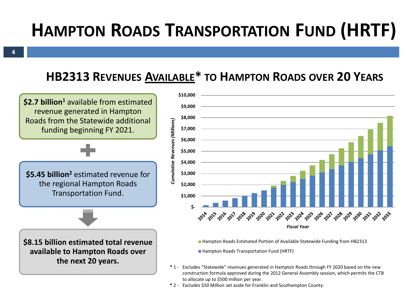## **HAMPTON ROADS TRANSPORTATION FUND (HRTF)**

#### **HB2313 REVENUES AVAILABLE\* TO HAMPTON ROADS OVER 20 YEARS**

**\$2.7 billion<sup>1</sup>** available from estimated revenue generated in Hampton Roads from the Statewide additional funding beginning FY 2021.

**\$5.45 billion2** estimated revenue for the regional Hampton Roads Transportation Fund.

**\$8.15 billion estimated total revenue available to Hampton Roads over** 



■ Hampton Roads Estimated Portion of Available Statewide Funding from HB2313

■ Hampton Roads Transportation Fund (HRTF)

- **the next 20 years. \*** 1- Excludes "Statewide" revenues generated in Hampton Roads through FY 2020 based on the new construction formula approved during the 2012 General Assembly session, which permits the CTB to allocate up to \$500 million per year.
	- **\*** 2 Excludes \$50 Million set aside for Franklin and Southampton County.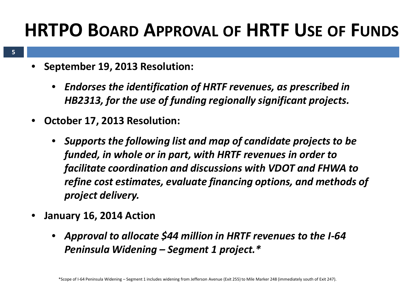### **HRTPO BOARD APPROVAL OF HRTF USE OF FUNDS**

- **5**
- **September 19, 2013 Resolution:** 
	- *Endorses the identification of HRTF revenues, as prescribed in HB2313, for the use of funding regionally significant projects.*
- **October 17, 2013 Resolution:**
	- *Supports the following list and map of candidate projects to be funded, in whole or in part, with HRTF revenues in order to facilitate coordination and discussions with VDOT and FHWA to refine cost estimates, evaluate financing options, and methods of project delivery.*
- **January 16, 2014 Action**
	- *Approval to allocate \$44 million in HRTF revenues to the I-64 Peninsula Widening – Segment 1 project.\**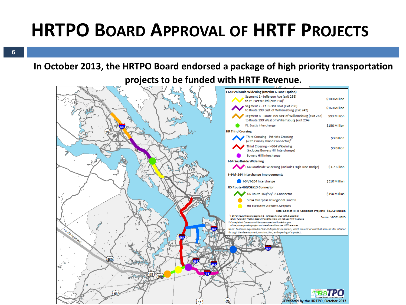### **HRTPO BOARD APPROVAL OF HRTF PROJECTS**

**6**

#### **In October 2013, the HRTPO Board endorsed a package of high priority transportation**

**projects to be funded with HRTF Revenue.**

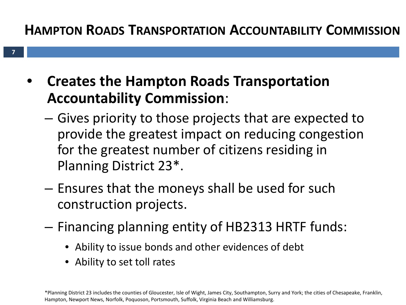#### **HAMPTON ROADS TRANSPORTATION ACCOUNTABILITY COMMISSION**

- **Creates the Hampton Roads Transportation Accountability Commission**:
	- Gives priority to those projects that are expected to provide the greatest impact on reducing congestion for the greatest number of citizens residing in Planning District 23\*.
	- Ensures that the moneys shall be used for such construction projects.
	- Financing planning entity of HB2313 HRTF funds:
		- Ability to issue bonds and other evidences of debt
		- Ability to set toll rates

**7**

\*Planning District 23 includes the counties of Gloucester, Isle of Wight, James City, Southampton, Surry and York; the cities of Chesapeake, Franklin, Hampton, Newport News, Norfolk, Poquoson, Portsmouth, Suffolk, Virginia Beach and Williamsburg.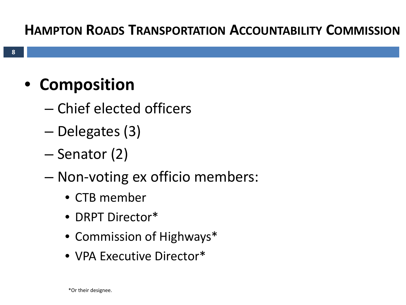#### **HAMPTON ROADS TRANSPORTATION ACCOUNTABILITY COMMISSION**

### • **Composition**

- Chief elected officers
- Delegates (3)
- Senator (2)
- Non-voting ex officio members:
	- CTB member
	- DRPT Director\*
	- Commission of Highways\*
	- VPA Executive Director\*